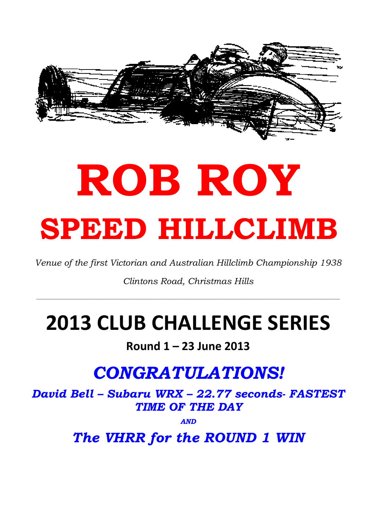

# ROB ROY SPEED HILLCLIMB

Venue of the first Victorian and Australian Hillclimb Championship 1938

Clintons Road, Christmas Hills

\_\_\_\_\_\_\_\_\_\_\_\_\_\_\_\_\_\_\_\_\_\_\_\_\_\_\_\_\_\_\_\_\_\_\_\_\_\_\_\_\_\_\_\_\_\_\_\_\_\_\_\_\_\_\_\_\_\_\_\_\_\_\_\_\_\_\_\_\_\_\_\_\_\_\_\_\_\_\_\_\_\_\_\_\_\_\_\_\_\_\_\_\_\_\_\_\_\_\_\_\_\_\_\_\_\_\_\_\_\_\_\_\_\_\_\_\_\_\_\_

# 2013 CLUB CHALLENGE SERIES

# Round 1 – 23 June 2013

# CONGRATULATIONS!

David Bell – Subaru WRX – 22.77 seconds- FASTEST TIME OF THE DAY

AND

The VHRR for the ROUND 1 WIN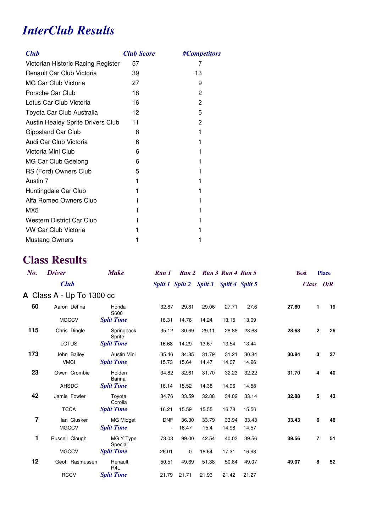# *InterClub Results*

| <b>Club</b>                        | <b>Club Score</b> | #Competitors |
|------------------------------------|-------------------|--------------|
| Victorian Historic Racing Register | 57                | 7            |
| Renault Car Club Victoria          | 39                | 13           |
| MG Car Club Victoria               | 27                | 9            |
| Porsche Car Club                   | 18                | 2            |
| Lotus Car Club Victoria            | 16                | 2            |
| Toyota Car Club Australia          | 12                | 5            |
| Austin Healey Sprite Drivers Club  | 11                | $\mathbf{2}$ |
| Gippsland Car Club                 | 8                 | 1            |
| Audi Car Club Victoria             | 6                 |              |
| Victoria Mini Club                 | 6                 |              |
| MG Car Club Geelong                | 6                 | 1            |
| RS (Ford) Owners Club              | 5                 |              |
| Austin 7                           | 1                 |              |
| Huntingdale Car Club               | 1                 |              |
| Alfa Romeo Owners Club             | 1                 |              |
| MX <sub>5</sub>                    |                   |              |
| <b>Western District Car Club</b>   |                   |              |
| <b>VW Car Club Victoria</b>        |                   |              |
| <b>Mustang Owners</b>              |                   |              |

# **Class Results**

| No. | <b>Driver</b>             | <b>Make</b>                 | Run 1      |                                         | Run 2 Run 3 Run 4 Run 5 |       |       | <b>Best</b> | <b>Place</b>   |    |
|-----|---------------------------|-----------------------------|------------|-----------------------------------------|-------------------------|-------|-------|-------------|----------------|----|
|     | <b>Club</b>               |                             |            | Split 1 Split 2 Split 3 Split 4 Split 5 |                         |       |       | Class O/R   |                |    |
|     | A Class A - Up To 1300 cc |                             |            |                                         |                         |       |       |             |                |    |
| 60  | Aaron Defina              | Honda<br>S600               | 32.87      | 29.81                                   | 29.06                   | 27.71 | 27.6  | 27.60       | $\mathbf{1}$   | 19 |
|     | <b>MGCCV</b>              | <b>Split Time</b>           | 16.31      | 14.76                                   | 14.24                   | 13.15 | 13.09 |             |                |    |
| 115 | Chris Dingle              | Springback<br>Sprite        | 35.12      | 30.69                                   | 29.11                   | 28.88 | 28.68 | 28.68       | $\overline{2}$ | 26 |
|     | LOTUS                     | <b>Split Time</b>           | 16.68      | 14.29                                   | 13.67                   | 13.54 | 13.44 |             |                |    |
| 173 | John Bailey               | <b>Austin Mini</b>          | 35.46      | 34.85                                   | 31.79                   | 31.21 | 30.84 | 30.84       | 3              | 37 |
|     | <b>VMCI</b>               | <b>Split Time</b>           | 15.73      | 15.64                                   | 14.47                   | 14.07 | 14.26 |             |                |    |
| 23  | Owen Crombie              | Holden<br><b>Barina</b>     | 34.82      | 32.61                                   | 31.70                   | 32.23 | 32.22 | 31.70       | 4              | 40 |
|     | AHSDC                     | <b>Split Time</b>           | 16.14      | 15.52                                   | 14.38                   | 14.96 | 14.58 |             |                |    |
| 42  | Jamie Fowler              | Toyota<br>Corolla           | 34.76      | 33.59                                   | 32.88                   | 34.02 | 33.14 | 32.88       | 5              | 43 |
|     | <b>TCCA</b>               | <b>Split Time</b>           | 16.21      | 15.59                                   | 15.55                   | 16.78 | 15.56 |             |                |    |
| 7   | lan Clusker               | <b>MG Midget</b>            | <b>DNF</b> | 36.30                                   | 33.79                   | 33.94 | 33.43 | 33.43       | 6              | 46 |
|     | <b>MGCCV</b>              | <b>Split Time</b>           |            | 16.47                                   | 15.4                    | 14.98 | 14.57 |             |                |    |
| 1   | Russell Clough            | MG Y Type<br>Special        | 73.03      | 99.00                                   | 42.54                   | 40.03 | 39.56 | 39.56       | $\overline{7}$ | 51 |
|     | <b>MGCCV</b>              | <b>Split Time</b>           | 26.01      | 0                                       | 18.64                   | 17.31 | 16.98 |             |                |    |
| 12  | Geoff Rasmussen           | Renault<br>R <sub>4</sub> L | 50.51      | 49.69                                   | 51.38                   | 50.84 | 49.07 | 49.07       | 8              | 52 |
|     | <b>RCCV</b>               | <b>Split Time</b>           | 21.79      | 21.71                                   | 21.93                   | 21.42 | 21.27 |             |                |    |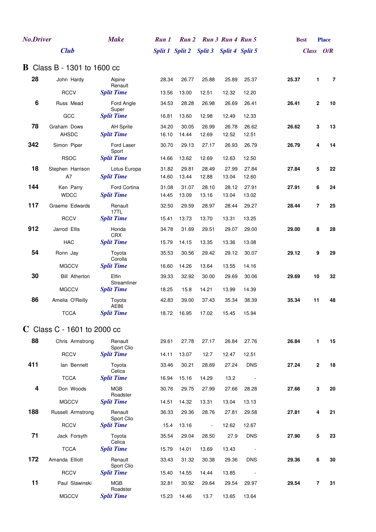| <b>No.Driver</b> |                                    | <b>Make</b>                     | Run 1 |       | Run 2 Run 3 Run 4 Run 5                 |       |            |       | <b>Best</b> | <b>Place</b>         |
|------------------|------------------------------------|---------------------------------|-------|-------|-----------------------------------------|-------|------------|-------|-------------|----------------------|
|                  | <b>Club</b>                        |                                 |       |       | Split 1 Split 2 Split 3 Split 4 Split 5 |       |            |       |             | Class O/R            |
|                  | <b>B</b> Class B - 1301 to 1600 cc |                                 |       |       |                                         |       |            |       |             |                      |
| 28               | John Hardy                         | Alpine                          | 28.34 | 26.77 | 25.88                                   | 25.89 | 25.37      | 25.37 |             | 1<br>7               |
|                  | <b>RCCV</b>                        | Renault<br><b>Split Time</b>    | 13.56 | 13.00 | 12.51                                   | 12.32 | 12.20      |       |             |                      |
| 6                | Russ Mead                          | Ford Angle                      | 34.53 | 28.28 | 26.98                                   | 26.69 | 26.41      | 26.41 |             | $\mathbf{2}$<br>10   |
|                  | GCC                                | Super<br><b>Split Time</b>      | 16.81 | 13.60 | 12.98                                   | 12.49 | 12.33      |       |             |                      |
| 78               | Graham Dows                        | <b>AH Sprite</b>                | 34.20 | 30.05 | 26.99                                   | 26.78 | 26.62      | 26.62 |             | 3<br>13              |
|                  | <b>AHSDC</b>                       | <b>Split Time</b>               | 16.10 | 14.44 | 12.69                                   | 12.52 | 12.51      |       |             |                      |
| 342              | Simon Piper                        | Ford Laser                      | 30.70 | 29.13 | 27.17                                   | 26.93 | 26.79      | 26.79 |             | 4<br>14              |
|                  | <b>RSOC</b>                        | Sport<br><b>Split Time</b>      | 14.66 | 13.62 | 12.69                                   | 12.63 | 12.50      |       |             |                      |
| 18               | Stephen Harrison                   | Lotus Europa                    | 31.82 | 29.81 | 28.49                                   | 27.99 | 27.84      | 27.84 |             | 5<br>22              |
|                  | A7                                 | <b>Split Time</b>               | 14.60 | 13.44 | 12.88                                   | 13.04 | 12.60      |       |             |                      |
| 144              | Ken Parry                          | Ford Cortina                    | 31.08 | 31.07 | 28.10                                   | 28.12 | 27.91      | 27.91 |             | 6<br>24              |
|                  | <b>WDCC</b>                        | <b>Split Time</b>               | 14.45 | 13.09 | 13.16                                   | 13.04 | 13.02      |       |             |                      |
| 117              | Graeme Edwards                     | Renault<br>17TL                 | 32.50 | 29.59 | 28.97                                   | 28.44 | 29.27      | 28.44 |             | $\overline{7}$<br>25 |
|                  | <b>RCCV</b>                        | <b>Split Time</b>               | 15.41 | 13.73 | 13.70                                   | 13.31 | 13.25      |       |             |                      |
| 912              | Jarrod Ellis                       | Honda<br><b>CRX</b>             | 34.78 | 31.69 | 29.51                                   | 29.07 | 29.00      | 29.00 |             | 8<br>28              |
|                  | <b>HAC</b>                         | <b>Split Time</b>               | 15.79 | 14.15 | 13.35                                   | 13.36 | 13.08      |       |             |                      |
| 54               | Ronn Jay                           | Toyota<br>Corolla               | 35.53 | 30.56 | 29.42                                   | 29.12 | 30.07      | 29.12 |             | 9<br>29              |
|                  | <b>MGCCV</b>                       | <b>Split Time</b>               | 16.60 | 14.26 | 13.64                                   | 13.55 | 14.16      |       |             |                      |
| 30               | <b>Bill Atherton</b>               | Elfin<br>Streamliner            | 39.33 | 32.92 | 30.00                                   | 29.69 | 30.06      | 29.69 | 10          | 32                   |
|                  | <b>MGCCV</b>                       | <b>Split Time</b>               | 18.25 | 15.8  | 14.21                                   | 13.99 | 14.39      |       |             |                      |
| 86               | Amelia O'Reilly                    | Toyota                          | 42.83 | 39.00 | 37.43                                   | 35.34 | 38.39      | 35.34 | 11          | 48                   |
|                  | <b>TCCA</b>                        | AE86<br><b>Split Time</b>       | 18.72 | 16.95 | 17.02                                   | 15.45 | 15.94      |       |             |                      |
|                  | C Class C - 1601 to 2000 cc        |                                 |       |       |                                         |       |            |       |             |                      |
| 88               | Chris Armstrong                    | Renault                         | 29.61 | 27.78 | 27.17                                   | 26.84 | 27.76      | 26.84 |             | $\mathbf{1}$<br>15   |
|                  | <b>RCCV</b>                        | Sport Clio<br><b>Split Time</b> | 14.11 | 13.07 | 12.7                                    | 12.47 | 12.51      |       |             |                      |
| 411              | lan Bennett                        | Toyota                          | 33.46 | 30.21 | 28.69                                   | 27.24 | <b>DNS</b> | 27.24 |             | $\mathbf{2}$<br>18   |
|                  |                                    | Celica                          |       |       |                                         |       |            |       |             |                      |
|                  | <b>TCCA</b>                        | <b>Split Time</b>               | 16.94 | 15.16 | 14.29                                   | 13.2  |            |       |             |                      |
| 4                | Don Woods                          | <b>MGB</b><br>Roadster          | 30.76 | 29.75 | 27.99                                   | 27.66 | 28.28      | 27.66 |             | 3<br>20              |
|                  | <b>MGCCV</b>                       | <b>Split Time</b>               | 14.51 | 14.32 | 13.31                                   | 13.04 | 13.13      |       |             |                      |
| 188              | Russell Armstrong                  | Renault<br>Sport Clio           | 36.33 | 29.36 | 28.76                                   | 27.81 | 29.58      | 27.81 |             | 4<br>21              |
|                  | <b>RCCV</b>                        | <b>Split Time</b>               | 15.4  | 13.16 | $\blacksquare$                          | 12.62 | 12.67      |       |             |                      |
| 71               | Jack Forsyth                       | Toyota                          | 35.54 | 29.04 | 28.50                                   | 27.9  | <b>DNS</b> | 27.90 |             | 5<br>23              |
|                  | <b>TCCA</b>                        | Celica<br><b>Split Time</b>     | 15.79 | 14.01 | 13.69                                   | 13.43 | $\sim$     |       |             |                      |
| 172              | Amanda Elliott                     | Renault                         | 33.43 | 31.32 | 30.38                                   | 29.36 | <b>DNS</b> | 29.36 |             | 30<br>6              |
|                  |                                    | Sport Clio                      |       |       |                                         |       |            |       |             |                      |
|                  | <b>RCCV</b>                        | <b>Split Time</b>               | 15.40 | 14.55 | 14.44                                   | 13.85 |            |       |             |                      |
| 11               | Paul Slawinski                     | <b>MGB</b><br>Roadster          | 32.81 | 30.92 | 29.64                                   | 29.54 | 29.97      | 29.54 |             | $\overline{7}$<br>31 |
|                  | <b>MGCCV</b>                       | <b>Split Time</b>               | 15.23 | 14.46 | 13.7                                    | 13.65 | 13.64      |       |             |                      |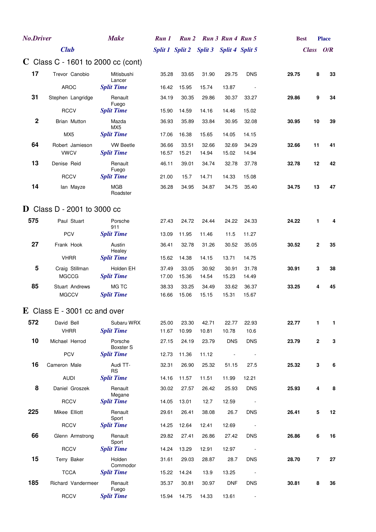| <b>No.Driver</b> |                                    | <b>Make</b>                          | Run 1          |                | Run 2 Run 3 Run 4 Run 5                 |                |                          |       | <b>Best</b>    | <b>Place</b> |
|------------------|------------------------------------|--------------------------------------|----------------|----------------|-----------------------------------------|----------------|--------------------------|-------|----------------|--------------|
|                  | <b>Club</b>                        |                                      |                |                | Split 1 Split 2 Split 3 Split 4 Split 5 |                |                          |       | Class O/R      |              |
|                  | C Class C - 1601 to 2000 cc (cont) |                                      |                |                |                                         |                |                          |       |                |              |
| 17               | Trevor Canobio                     | Mitisbushi                           | 35.28          | 33.65          | 31.90                                   | 29.75          | <b>DNS</b>               | 29.75 | 8              | 33           |
|                  | <b>AROC</b>                        | Lancer<br><b>Split Time</b>          | 16.42          | 15.95          | 15.74                                   | 13.87          |                          |       |                |              |
| 31               | Stephen Langridge                  | Renault                              | 34.19          | 30.35          | 29.86                                   | 30.37          | 33.27                    | 29.86 | 9              | 34           |
|                  | <b>RCCV</b>                        | Fuego<br><b>Split Time</b>           | 15.90          | 14.59          | 14.16                                   | 14.46          | 15.02                    |       |                |              |
| $\mathbf 2$      | Brian Mutton                       | Mazda                                | 36.93          | 35.89          | 33.84                                   | 30.95          | 32.08                    | 30.95 | 10             | 39           |
|                  | MX5                                | MX <sub>5</sub><br><b>Split Time</b> | 17.06          | 16.38          | 15.65                                   | 14.05          | 14.15                    |       |                |              |
| 64               | Robert Jamieson                    | <b>VW Beetle</b>                     | 36.66          | 33.51          | 32.66                                   | 32.69          | 34.29                    | 32.66 | 11             | 41           |
|                  | <b>VWCV</b>                        | <b>Split Time</b>                    | 16.57          | 15.21          | 14.94                                   | 15.02          | 14.94                    |       |                |              |
| 13               | Denise Reid                        | Renault<br>Fuego                     | 46.11          | 39.01          | 34.74                                   | 32.78          | 37.78                    | 32.78 | 12             | 42           |
|                  | <b>RCCV</b>                        | <b>Split Time</b>                    | 21.00          | 15.7           | 14.71                                   | 14.33          | 15.08                    |       |                |              |
| 14               | lan Mayze                          | <b>MGB</b><br>Roadster               | 36.28          | 34.95          | 34.87                                   | 34.75          | 35.40                    | 34.75 | 13             | 47           |
|                  | D Class D - 2001 to 3000 cc        |                                      |                |                |                                         |                |                          |       |                |              |
| 575              | Paul Stuart                        | Porsche                              | 27.43          | 24.72          | 24.44                                   | 24.22          | 24.33                    | 24.22 | 1              | 4            |
|                  | <b>PCV</b>                         | 911<br><b>Split Time</b>             | 13.09          | 11.95          | 11.46                                   | 11.5           | 11.27                    |       |                |              |
| 27               | Frank Hook                         | Austin                               | 36.41          | 32.78          | 31.26                                   | 30.52          | 35.05                    | 30.52 | $\mathbf{2}$   | 35           |
|                  | <b>VHRR</b>                        | Healey<br><b>Split Time</b>          | 15.62          | 14.38          | 14.15                                   | 13.71          | 14.75                    |       |                |              |
| 5                | Craig Stillman                     | Holden EH                            | 37.49          | 33.05          | 30.92                                   | 30.91          | 31.78                    | 30.91 | 3              | 38           |
|                  | <b>MGCCG</b>                       | <b>Split Time</b>                    | 17.00          | 15.36          | 14.54                                   | 15.23          | 14.49                    |       |                |              |
| 85               | Stuart Andrews<br><b>MGCCV</b>     | MG TC<br><b>Split Time</b>           | 38.33<br>16.66 | 33.25<br>15.06 | 34.49<br>15.15                          | 33.62<br>15.31 | 36.37<br>15.67           | 33.25 | 4              | 45           |
|                  | $E$ Class E - 3001 cc and over     |                                      |                |                |                                         |                |                          |       |                |              |
| 572              | David Bell                         | Subaru WRX                           | 25.00          | 23.30          | 42.71                                   | 22.77          | 22.93                    | 22.77 | 1              | 1            |
|                  | <b>VHRR</b>                        | <b>Split Time</b>                    | 11.67          | 10.99          | 10.81                                   | 10.78          | 10.6                     |       |                |              |
| 10               | Michael Herrod                     | Porsche<br>Boxster S                 | 27.15          | 24.19          | 23.79                                   | <b>DNS</b>     | <b>DNS</b>               | 23.79 | $\mathbf{2}$   | 3            |
|                  | PCV                                | <b>Split Time</b>                    | 12.73          | 11.36          | 11.12                                   |                |                          |       |                |              |
| 16               | Cameron Male                       | Audi TT-                             | 32.31          | 26.90          | 25.32                                   | 51.15          | 27.5                     | 25.32 | 3              | 6            |
|                  | <b>AUDI</b>                        | <b>RS</b><br><b>Split Time</b>       | 14.16          | 11.57          | 11.51                                   | 11.99          | 12.21                    |       |                |              |
| 8                | Daniel Groszek                     | Renault                              | 30.02          | 27.57          | 26.42                                   | 25.93          | <b>DNS</b>               | 25.93 | 4              | 8            |
|                  | <b>RCCV</b>                        | Megane<br><b>Split Time</b>          | 14.05          | 13.01          | 12.7                                    | 12.59          | $\overline{\phantom{a}}$ |       |                |              |
| 225              | Mikee Elliott                      | Renault                              | 29.61          | 26.41          | 38.08                                   | 26.7           | <b>DNS</b>               | 26.41 | 5              | 12           |
|                  | <b>RCCV</b>                        | Sport<br><b>Split Time</b>           | 14.25          | 12.64          | 12.41                                   | 12.69          |                          |       |                |              |
| 66               | Glenn Armstrong                    | Renault                              | 29.82          | 27.41          | 26.86                                   | 27.42          | <b>DNS</b>               | 26.86 | 6              | $16$         |
|                  | <b>RCCV</b>                        | Sport<br><b>Split Time</b>           | 14.24          | 13.29          | 12.91                                   | 12.97          |                          |       |                |              |
| 15               | Terry Baker                        | Holden                               | 31.61          | 29.03          | 28.87                                   | 28.7           | <b>DNS</b>               | 28.70 | $\overline{7}$ | 27           |
|                  | <b>TCCA</b>                        | Commodor<br><b>Split Time</b>        | 15.22          | 14.24          | 13.9                                    | 13.25          | $\overline{\phantom{a}}$ |       |                |              |
| 185              | Richard Vandermeer                 | Renault                              | 35.37          | 30.81          | 30.97                                   | <b>DNF</b>     | <b>DNS</b>               | 30.81 | 8              | 36           |
|                  | <b>RCCV</b>                        | Fuego<br><b>Split Time</b>           | 15.94          | 14.75          | 14.33                                   | 13.61          | $\overline{\phantom{a}}$ |       |                |              |
|                  |                                    |                                      |                |                |                                         |                |                          |       |                |              |